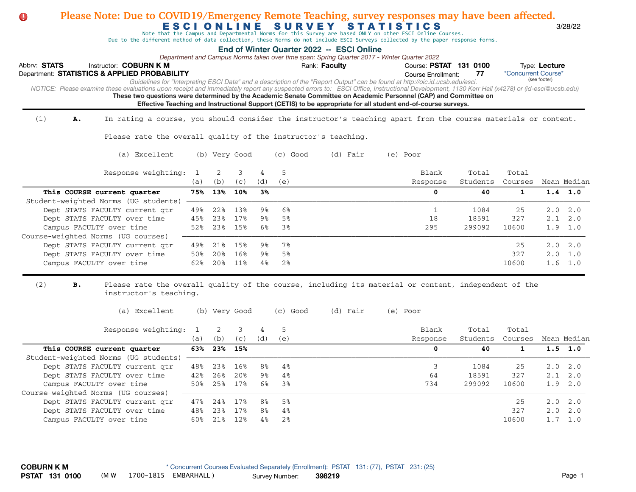| Please Note: Due to COVID19/Emergency Remote Teaching, survey responses may have been affected.<br>O.                                                                                      |              |            |               |                |            |                                                                                                                                          |          |                           |                 |                     |                 |             |
|--------------------------------------------------------------------------------------------------------------------------------------------------------------------------------------------|--------------|------------|---------------|----------------|------------|------------------------------------------------------------------------------------------------------------------------------------------|----------|---------------------------|-----------------|---------------------|-----------------|-------------|
|                                                                                                                                                                                            |              |            |               |                |            | ESCIONLINE SURVEY STATISTICS<br>Note that the Campus and Departmental Norms for this Survey are based ONLY on other ESCI Online Courses. |          |                           |                 |                     |                 | 3/28/22     |
| Due to the different method of data collection, these Norms do not include ESCI Surveys collected by the paper response forms.                                                             |              |            |               |                |            |                                                                                                                                          |          |                           |                 |                     |                 |             |
|                                                                                                                                                                                            |              |            |               |                |            | End of Winter Quarter 2022 -- ESCI Online<br>Department and Campus Norms taken over time span: Spring Quarter 2017 - Winter Quarter 2022 |          |                           |                 |                     |                 |             |
| Abbrv: STATS<br>Instructor: COBURN K M                                                                                                                                                     |              |            |               |                |            | Rank: Faculty                                                                                                                            |          | Course: PSTAT 131 0100    |                 |                     | Type: Lecture   |             |
| Department: STATISTICS & APPLIED PROBABILITY                                                                                                                                               |              |            |               |                |            |                                                                                                                                          |          | <b>Course Enrollment:</b> | 77              | *Concurrent Course* | (see footer)    |             |
| NOTICE: Please examine these evaluations upon receipt and immediately report any suspected errors to: ESCI Office, Instructional Development, 1130 Kerr Hall (x4278) or (id-esci@ucsb.edu) |              |            |               |                |            | Guidelines for "Interpreting ESCI Data" and a description of the "Report Output" can be found at http://oic.id.ucsb.edu/esci.            |          |                           |                 |                     |                 |             |
| These two questions were determined by the Academic Senate Committee on Academic Personnel (CAP) and Committee on                                                                          |              |            |               |                |            |                                                                                                                                          |          |                           |                 |                     |                 |             |
|                                                                                                                                                                                            |              |            |               |                |            | Effective Teaching and Instructional Support (CETIS) to be appropriate for all student end-of-course surveys.                            |          |                           |                 |                     |                 |             |
| (1)<br>In rating a course, you should consider the instructor's teaching apart from the course materials or content.<br>Α.                                                                 |              |            |               |                |            |                                                                                                                                          |          |                           |                 |                     |                 |             |
| Please rate the overall quality of the instructor's teaching.                                                                                                                              |              |            |               |                |            |                                                                                                                                          |          |                           |                 |                     |                 |             |
| (a) Excellent                                                                                                                                                                              |              |            | (b) Very Good |                | $(c)$ Good | (d) Fair                                                                                                                                 | (e) Poor |                           |                 |                     |                 |             |
| Response weighting:                                                                                                                                                                        | $\mathbf{1}$ | 2          | 3             | $\overline{4}$ | 5          |                                                                                                                                          |          | Blank                     | Total           | Total               |                 |             |
|                                                                                                                                                                                            | (a)          | (b)        | (c)           | (d)            | (e)        |                                                                                                                                          |          | Response                  | Students        | Courses             |                 | Mean Median |
| This COURSE current quarter                                                                                                                                                                | 75%          | 13%        | 10%           | 3%             |            |                                                                                                                                          |          | 0                         | 40              | $\mathbf{1}$        | $1.4$ 1.0       |             |
| Student-weighted Norms (UG students)                                                                                                                                                       |              |            |               |                |            |                                                                                                                                          |          |                           |                 |                     |                 |             |
| Dept STATS FACULTY current qtr                                                                                                                                                             | 49%          | 22%        | 13%           | 9%             | 6%         |                                                                                                                                          |          | $\mathbf{1}$              | 1084            | 25                  | 2.0             | 2.0         |
| Dept STATS FACULTY over time                                                                                                                                                               | 45%<br>52%   | 23%<br>23% | 17%<br>15%    | 9%<br>6%       | 5%<br>3%   |                                                                                                                                          |          | 18<br>295                 | 18591<br>299092 | 327<br>10600        | 2.1<br>1.9      | 2.0<br>1.0  |
| Campus FACULTY over time<br>Course-weighted Norms (UG courses)                                                                                                                             |              |            |               |                |            |                                                                                                                                          |          |                           |                 |                     |                 |             |
| Dept STATS FACULTY current qtr                                                                                                                                                             | 49%          | 21%        | 15%           | 9%             | 7%         |                                                                                                                                          |          |                           |                 | 25                  | 2.0             | 2.0         |
| Dept STATS FACULTY over time                                                                                                                                                               | 50%          | 20%        | 16%           | 9%             | 5%         |                                                                                                                                          |          |                           |                 | 327                 | 2.0             | 1.0         |
| Campus FACULTY over time                                                                                                                                                                   | 62%          | 20%        | 11%           | 4%             | 2%         |                                                                                                                                          |          |                           |                 | 10600               | 1.6             | 1.0         |
| (2)<br>в.<br>Please rate the overall quality of the course, including its material or content, independent of the<br>instructor's teaching.                                                |              |            |               |                |            |                                                                                                                                          |          |                           |                 |                     |                 |             |
| (a) Excellent                                                                                                                                                                              |              |            | (b) Very Good |                | $(c)$ Good | (d) Fair                                                                                                                                 | (e) Poor |                           |                 |                     |                 |             |
| Response weighting:                                                                                                                                                                        | $\mathbf{1}$ | 2          | 3             | $\overline{4}$ | 5          |                                                                                                                                          |          | Blank                     | Total           | Total               |                 |             |
|                                                                                                                                                                                            | (a)          | (b)        | (c)           | (d)            | (e)        |                                                                                                                                          |          | Response                  | Students        | Courses             |                 | Mean Median |
| This COURSE current quarter                                                                                                                                                                | 63%          | 23%        | 15%           |                |            |                                                                                                                                          |          | 0                         | 40              | $\mathbf{1}$        | 1.5             | 1.0         |
| Student-weighted Norms (UG students)                                                                                                                                                       |              |            |               |                |            |                                                                                                                                          |          |                           |                 |                     |                 |             |
| Dept STATS FACULTY current qtr                                                                                                                                                             | 48%          | 23%        | 16%           | 8%             | 4%         |                                                                                                                                          |          | 3                         | 1084            | 25                  | 2.0             | 2.0         |
| Dept STATS FACULTY over time                                                                                                                                                               | 42%          | 26%        | 20%           | 9%             | 4%         |                                                                                                                                          |          | 64                        | 18591           | 327                 | 2.1             | 2.0         |
| Campus FACULTY over time                                                                                                                                                                   | 50%          | 25%        | 17%           | 6%             | 3%         |                                                                                                                                          |          | 734                       | 299092          | 10600               | 1.9             | 2.0         |
| Course-weighted Norms (UG courses)<br>Dept STATS FACULTY current qtr                                                                                                                       | 47%          | 24%        | 17%           | 8%             | 5%         |                                                                                                                                          |          |                           |                 | 25                  | 2.0             | 2.0         |
| Dept STATS FACULTY over time                                                                                                                                                               | 48%          | 23%        | 17%           | 8%             | 4%         |                                                                                                                                          |          |                           |                 | 327                 | 2.0             | 2.0         |
| Campus FACULTY over time                                                                                                                                                                   | 60%          | 21%        | 12%           | 4%             | 2%         |                                                                                                                                          |          |                           |                 | 10600               | $1.7 \quad 1.0$ |             |
|                                                                                                                                                                                            |              |            |               |                |            |                                                                                                                                          |          |                           |                 |                     |                 |             |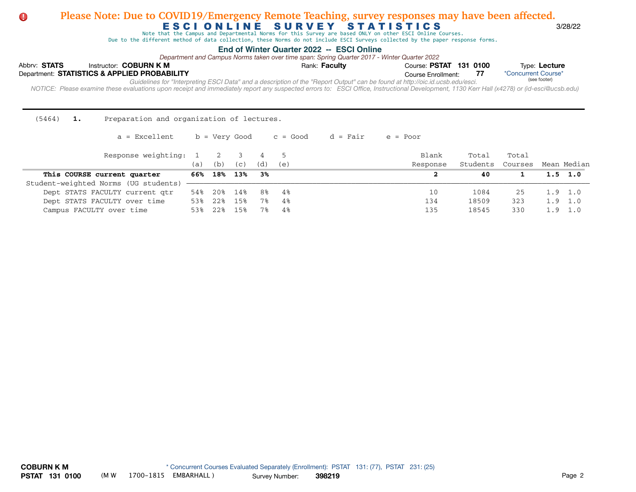#### **Please Note: Due to COVID19/Emergency Remote Teaching, survey responses may have been affected.**  $\bullet$ E S C I O N L I N E S U R V E Y S T A T I S T I C S 3/28/22

Note that the Campus and Departmental Norms for this Survey are based ONLY on other ESCI Online Courses.

Due to the different method of data collection, these Norms do not include ESCI Surveys collected by the paper response forms.

#### **End of Winter Quarter 2022 -- ESCI Online**

*Department and Campus Norms taken over time span: Spring Quarter 2017 - Winter Quarter 2022*

| Abbrv: STATS |                                              | Instructor: COBURN K M |                                                                                                                               | Rank: <b>Faculty</b> | Course: PSTAT 131 0100 |  | Type: Lecture                                                                                                                                                                              |
|--------------|----------------------------------------------|------------------------|-------------------------------------------------------------------------------------------------------------------------------|----------------------|------------------------|--|--------------------------------------------------------------------------------------------------------------------------------------------------------------------------------------------|
|              | Department: STATISTICS & APPLIED PROBABILITY |                        |                                                                                                                               |                      | Course Enrollment:     |  | *Concurrent Course*                                                                                                                                                                        |
|              |                                              |                        | Guidelines for "Interpreting ESCI Data" and a description of the "Report Output" can be found at http://oic.id.ucsb.edu/esci. |                      |                        |  | (see footer)                                                                                                                                                                               |
|              |                                              |                        |                                                                                                                               |                      |                        |  | NOTICE: Please examine these evaluations upon receipt and immediately report any suspected errors to: ESCI Office, Instructional Development, 1130 Kerr Hall (x4278) or (id-esci@ucsb.edu) |
|              |                                              |                        |                                                                                                                               |                      |                        |  |                                                                                                                                                                                            |

(5464) **1.** Preparation and organization of lectures.

 $a =$  Excellent b = Very Good c = Good d = Fair e = Poor

| Response weighting: 1 2              | a)  | (b)  | (C) | (d)  | (e) | Blank<br>Response | Total<br>Students | Total<br>Courses Mean Median |                 |
|--------------------------------------|-----|------|-----|------|-----|-------------------|-------------------|------------------------------|-----------------|
| This COURSE current quarter          | 66% | 18%  | 13% | - 3% |     |                   | 40                |                              | $1.5 \quad 1.0$ |
| Student-weighted Norms (UG students) |     |      |     |      |     |                   |                   |                              |                 |
| Dept STATS FACULTY current qtr       | 54% | 20%  | 14% | 8%   | -48 | 10                | 1084              | 25                           | $1.9 \quad 1.0$ |
| Dept STATS FACULTY over time         | 53% | 22%  | 15% | 7%   | 4%  | 134               | 18509             | 323                          | $1.9 \quad 1.0$ |
| Campus FACULTY over time             |     | 2.2% | 15% | 7%   | 4%  | 135               | 18545             | 330                          | $1.9 \quad 1.0$ |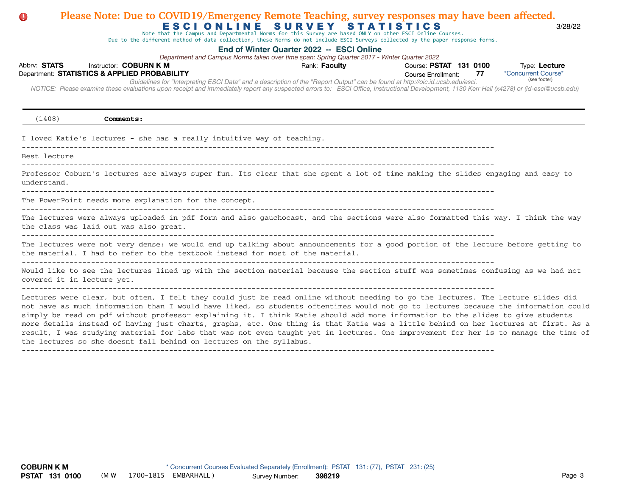### Abbrv: STATS Instructor: COBURN K M **COUR EXECUTS** Rank: Faculty **Property Course: PSTAT 131 0100** Type: Lecture Course Enrollment:  *NOTICE: Please examine these evaluations upon receipt and immediately report any suspected errors to: ESCI Office, Instructional Development, 1130 Kerr Hall (x4278) or (id-esci@ucsb.edu)*  Department: **STATISTICS & APPLIED PROBABILITY 77** E S C I O N L I N E S U R V E Y S T A T I S T I C S 3/28/22 **End of Winter Quarter 2022 -- ESCI Online** \*Concurrent Course\* *Guidelines for "Interpreting ESCI Data" and a description of the "Report Output" can be found at http://oic.id.ucsb.edu/esci. Department and Campus Norms taken over time span: Spring Quarter 2017 - Winter Quarter 2022* Note that the Campus and Departmental Norms for this Survey are based ONLY on other ESCI Online Courses. Due to the different method of data collection, these Norms do not include ESCI Surveys collected by the paper response forms. (see footer) (1408) **Comments:** I loved Katie's lectures - she has a really intuitive way of teaching. ------------------------------------------------------------------------------------------------------------- Best lecture ------------------------------------------------------------------------------------------------------------- Professor Coburn's lectures are always super fun. Its clear that she spent a lot of time making the slides engaging and easy to understand.  $-$ The PowerPoint needs more explanation for the concept. ------------------------------------------------------------------------------------------------------------- The lectures were always uploaded in pdf form and also gauchocast, and the sections were also formatted this way. I think the way the class was laid out was also great. ------------------------------------------------------------------------------------------------------------- The lectures were not very dense; we would end up talking about announcements for a good portion of the lecture before getting to the material. I had to refer to the textbook instead for most of the material. Would like to see the lectures lined up with the section material because the section stuff was sometimes confusing as we had not covered it in lecture yet. ------------------------------------------------------------------------------------------------------------- Lectures were clear, but often, I felt they could just be read online without needing to go the lectures. The lecture slides did not have as much information than I would have liked, so students oftentimes would not go to lectures because the information could simply be read on pdf without professor explaining it. I think Katie should add more information to the slides to give students more details instead of having just charts, graphs, etc. One thing is that Katie was a little behind on her lectures at first. As a result, I was studying material for labs that was not even taught yet in lectures. One improvement for her is to manage the time of the lectures so she doesnt fall behind on lectures on the syllabus.

**Please Note: Due to COVID19/Emergency Remote Teaching, survey responses may have been affected.**

-------------------------------------------------------------------------------------------------------------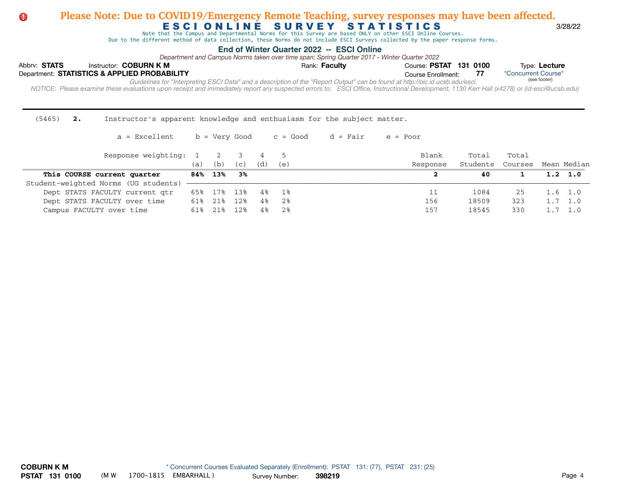### **Please Note: Due to COVID19/Emergency Remote Teaching, survey responses may have been affected.**  $\bullet$ E S C I O N L I N E SURVEY STATISTICS 3/28/22<br>Note that the Campus and Departmental Norms for this Survey are based ONLY on other ESCI Online Courses.

Due to the different method of data collection, these Norms do not include ESCI Surveys collected by the paper response forms.

### **End of Winter Quarter 2022 -- ESCI Online**

*Department and Campus Norms taken over time span: Spring Quarter 2017 - Winter Quarter 2022*

| Abbrv: STATS | Instructor: COBURN K M                       |                                                                                                                                                                                            | Rank: Faculty | Course: PSTAT 131 0100 |  | Type: Lecture       |
|--------------|----------------------------------------------|--------------------------------------------------------------------------------------------------------------------------------------------------------------------------------------------|---------------|------------------------|--|---------------------|
|              | Department: STATISTICS & APPLIED PROBABILITY |                                                                                                                                                                                            |               | Course Enrollment:     |  | *Concurrent Course* |
|              |                                              | Guidelines for "Interpreting ESCI Data" and a description of the "Report Output" can be found at http://oic.id.ucsb.edu/esci.                                                              |               |                        |  | (see footer)        |
|              |                                              | NOTICE: Please examine these evaluations upon receipt and immediately report any suspected errors to: ESCI Office, Instructional Development, 1130 Kerr Hall (x4278) or (id-esci@ucsb.edu) |               |                        |  |                     |
|              |                                              |                                                                                                                                                                                            |               |                        |  |                     |

| $(5465)$ 2. | Instructor's apparent knowledge and enthusiasm for the subject matter. |  |  |  |  |  |
|-------------|------------------------------------------------------------------------|--|--|--|--|--|
|             |                                                                        |  |  |  |  |  |

| a = Excellent | b = Very Good | c = Good d = Fair |  | e = Poor |
|---------------|---------------|-------------------|--|----------|
|---------------|---------------|-------------------|--|----------|

| Response weighting: 1 2              |     |         |      |     |      | Blank    | Total    | Total   |                 |
|--------------------------------------|-----|---------|------|-----|------|----------|----------|---------|-----------------|
|                                      | (a) | (b)     | (C)  | (d) | (e)  | Response | Students | Courses | Mean Median     |
| This COURSE current quarter          |     | 84% 13% | - 3% |     |      |          | 40       |         | $1.2 \quad 1.0$ |
| Student-weighted Norms (UG students) |     |         |      |     |      |          |          |         |                 |
| Dept STATS FACULTY current qtr       | 65% | 17%     | 13%  | 4%  | - 1% |          | 1084     | 25      | $1.6 \quad 1.0$ |
| Dept STATS FACULTY over time         | 61% | 21%     | 12%  | 4%  | 2%   | 156      | 18509    | 323     | $1.7 \quad 1.0$ |
| Campus FACULTY over time             | 618 | 218     | 12%  | 4%  | 2%   | 157      | 18545    | 330     | 1.0             |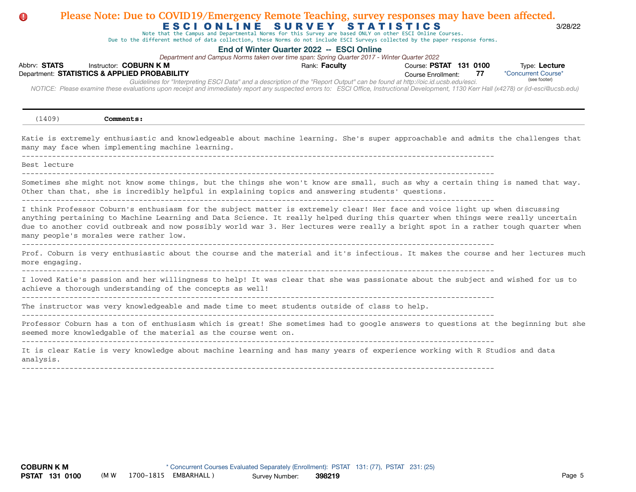### Abbrv: STATS Instructor: COBURN K M **COUR EXECUTS** Rank: Faculty **Property Course: PSTAT 131 0100** Type: Lecture Course Enrollment:  *NOTICE: Please examine these evaluations upon receipt and immediately report any suspected errors to: ESCI Office, Instructional Development, 1130 Kerr Hall (x4278) or (id-esci@ucsb.edu)*  Department: **STATISTICS & APPLIED PROBABILITY 77** E S C I O N L I N E S U R V E Y S T A T I S T I C S 3/28/22 **End of Winter Quarter 2022 -- ESCI Online** \*Concurrent Course\* *Guidelines for "Interpreting ESCI Data" and a description of the "Report Output" can be found at http://oic.id.ucsb.edu/esci. Department and Campus Norms taken over time span: Spring Quarter 2017 - Winter Quarter 2022* Note that the Campus and Departmental Norms for this Survey are based ONLY on other ESCI Online Courses. Due to the different method of data collection, these Norms do not include ESCI Surveys collected by the paper response forms. (see footer) **Please Note: Due to COVID19/Emergency Remote Teaching, survey responses may have been affected.** (1409) **Comments:** Katie is extremely enthusiastic and knowledgeable about machine learning. She's super approachable and admits the challenges that many may face when implementing machine learning. ------------------------------------------------------------------------------------------------------------- Best lecture ------------------------------------------------------------------------------------------------------------- Sometimes she might not know some things, but the things she won't know are small, such as why a certain thing is named that way. Other than that, she is incredibly helpful in explaining topics and answering students' questions. ------------------------------------------------------------------------------------------------------------- I think Professor Coburn's enthusiasm for the subject matter is extremely clear! Her face and voice light up when discussing anything pertaining to Machine Learning and Data Science. It really helped during this quarter when things were really uncertain due to another covid outbreak and now possibly world war 3. Her lectures were really a bright spot in a rather tough quarter when many people's morales were rather low. ------------------------------------------------------------------------------------------------------------- Prof. Coburn is very enthusiastic about the course and the material and it's infectious. It makes the course and her lectures much more engaging. ------------------------------------------------------------------------------------------------------------- I loved Katie's passion and her willingness to help! It was clear that she was passionate about the subject and wished for us to achieve a thorough understanding of the concepts as well!  $-$ The instructor was very knowledgeable and made time to meet students outside of class to help. ------------------------------------------------------------------------------------------------------------- Professor Coburn has a ton of enthusiasm which is great! She sometimes had to google answers to questions at the beginning but she seemed more knowledgable of the material as the course went on. ------------------------------------------------------------------------------------------------------------- It is clear Katie is very knowledge about machine learning and has many years of experience working with R Studios and data analysis. -------------------------------------------------------------------------------------------------------------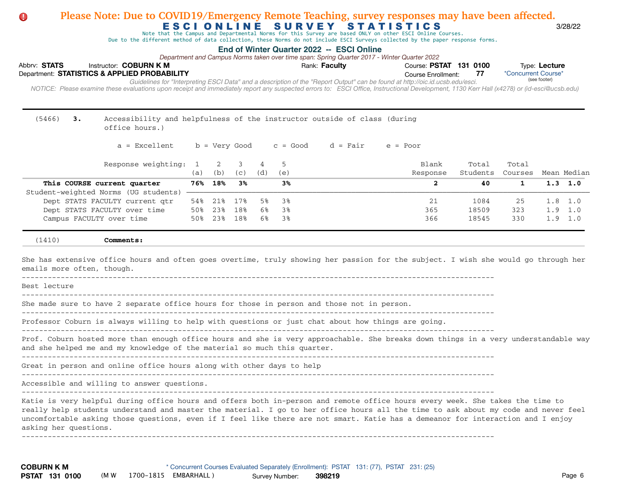### Abbrv: STATS Instructor: COBURN K M **COUR EXECUTS** Rank: Faculty **Property Course: PSTAT 131 0100** Type: Lecture Course Enrollment:  *NOTICE: Please examine these evaluations upon receipt and immediately report any suspected errors to: ESCI Office, Instructional Development, 1130 Kerr Hall (x4278) or (id-esci@ucsb.edu)*  Department: **STATISTICS & APPLIED PROBABILITY 77** E S C I O N L I N E S U R V E Y S T A T I S T I C S 3/28/22 **End of Winter Quarter 2022 -- ESCI Online** \*Concurrent Course\* *Guidelines for "Interpreting ESCI Data" and a description of the "Report Output" can be found at http://oic.id.ucsb.edu/esci. Department and Campus Norms taken over time span: Spring Quarter 2017 - Winter Quarter 2022* Note that the Campus and Departmental Norms for this Survey are based ONLY on other ESCI Online Courses. Due to the different method of data collection, these Norms do not include ESCI Surveys collected by the paper response forms. (see footer) **Please Note: Due to COVID19/Emergency Remote Teaching, survey responses may have been affected.** (5466) **3.** Accessibility and helpfulness of the instructor outside of class (during office hours.)  $a =$  Excellent b = Very Good c = Good d = Fair e = Poor Response weighting: 1 2 3 4 5 Blank Total Total Total (a) (b) (c) (d) (e) Response Students Courses Mean Median  **This COURSE current quarter 76% 18% 3% 3% 2 40 1 1.3 1.0**  Student-weighted Norms (UG students) - Dept STATS FACULTY current qtr 54% 21% 17% 5% 3% 21 1084 25 1.8 1.0 Dept STATS FACULTY over time 50% 23% 18% 6% 3% 365 18509 323 1.9 1.0 Campus FACULTY over time 50% 23% 18% 6% 3% 366 18545 330 1.9 1.0 (1410) **Comments:** She has extensive office hours and often goes overtime, truly showing her passion for the subject. I wish she would go through her emails more often, though. Best lecture  $-$ She made sure to have 2 separate office hours for those in person and those not in person. ------------------------------------------------------------------------------------------------------------- Professor Coburn is always willing to help with questions or just chat about how things are going. ------------------------------------------------------------------------------------------------------------- Prof. Coburn hosted more than enough office hours and she is very approachable. She breaks down things in a very understandable way and she helped me and my knowledge of the material so much this quarter. ------------------------------------------------------------------------------------------------------------- Great in person and online office hours along with other days to help ------------------------------------------------------------------------------------------------------------- Accessible and willing to answer questions. -------------------------------------------------------------------------------------------------------------

Katie is very helpful during office hours and offers both in-person and remote office hours every week. She takes the time to really help students understand and master the material. I go to her office hours all the time to ask about my code and never feel uncomfortable asking those questions, even if I feel like there are not smart. Katie has a demeanor for interaction and I enjoy asking her questions.

-------------------------------------------------------------------------------------------------------------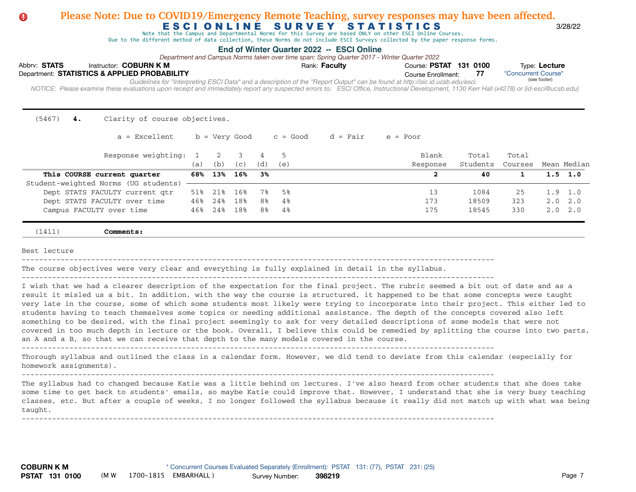# E S C I O N L I N E S U R V E Y S T A T I S T I C S 3/28/22 **Please Note: Due to COVID19/Emergency Remote Teaching, survey responses may have been affected.**

Note that the Campus and Departmental Norms for this Survey are based ONLY on other ESCI Online Courses.

Due to the different method of data collection, these Norms do not include ESCI Surveys collected by the paper response forms.

#### **End of Winter Quarter 2022 -- ESCI Online**

*Department and Campus Norms taken over time span: Spring Quarter 2017 - Winter Quarter 2022*

| Abbrv: STATS |  | Instructor: COBURN K M                       |                                                                                                                               | Rank: <b>Faculty</b> | Course: PSTAT 131 0100 |  | Type: Lecture                                                                                                                                                                              |  |
|--------------|--|----------------------------------------------|-------------------------------------------------------------------------------------------------------------------------------|----------------------|------------------------|--|--------------------------------------------------------------------------------------------------------------------------------------------------------------------------------------------|--|
|              |  | Department: STATISTICS & APPLIED PROBABILITY |                                                                                                                               |                      | Course Enrollment:     |  | *Concurrent Course*                                                                                                                                                                        |  |
|              |  |                                              | Guidelines for "Interpreting ESCI Data" and a description of the "Report Output" can be found at http://oic.id.ucsb.edu/esci. |                      |                        |  | (see footer)                                                                                                                                                                               |  |
|              |  |                                              |                                                                                                                               |                      |                        |  | NOTICE: Please examine these evaluations upon receipt and immediately report any suspected errors to: ESCI Office, Instructional Development, 1130 Kerr Hall (x4278) or (id-esci@ucsb.edu) |  |
|              |  |                                              |                                                                                                                               |                      |                        |  |                                                                                                                                                                                            |  |

(5467) **4.** Clarity of course objectives.

| $a = Excellent$ b = Very Good c = Good d = Fair e = Poor |  |  |  |  |
|----------------------------------------------------------|--|--|--|--|
|----------------------------------------------------------|--|--|--|--|

| Response weighting: 1                | (a) | $\overline{2}$<br>(b) | (C) | (d)            | (e)  | Blank<br>Response | Total<br>Students | Total<br>Courses | Mean Median     |
|--------------------------------------|-----|-----------------------|-----|----------------|------|-------------------|-------------------|------------------|-----------------|
| This COURSE current quarter          | 68% | 13%                   | 16% | 3%             |      |                   | 40                |                  | $1.5 \t1.0$     |
| Student-weighted Norms (UG students) |     |                       |     |                |      |                   |                   |                  |                 |
| Dept STATS FACULTY current qtr       | 51% | 218                   | 16% | 7%             | - 5% | 13                | 1084              | 25               | $1.9$ 1.0       |
| Dept STATS FACULTY over time         | 46% | 24%                   | 18% | 8%             | 4%   | 173               | 18509             | 323              | $2.0\quad 2.0$  |
| Campus FACULTY over time             | 46% | 24%                   | 18% | 8 <sup>°</sup> | 4%   | 175               | 18545             | 330              | $2.0 \quad 2.0$ |

(1411) **Comments:**

Best lecture

-------------------------------------------------------------------------------------------------------------

The course objectives were very clear and everything is fully explained in detail in the syllabus.

-------------------------------------------------------------------------------------------------------------

I wish that we had a clearer description of the expectation for the final project. The rubric seemed a bit out of date and as a result it misled us a bit. In addition, with the way the course is structured, it happened to be that some concepts were taught very late in the course, some of which some students most likely were trying to incorporate into their project. This either led to students having to teach themselves some topics or needing additional assistance. The depth of the concepts covered also left something to be desired, with the final project seemingly to ask for very detailed descriptions of some models that were not covered in too much depth in lecture or the book. Overall, I believe this could be remedied by splitting the course into two parts, an A and a B, so that we can receive that depth to the many models covered in the course.

-------------------------------------------------------------------------------------------------------------

Thorough syllabus and outlined the class in a calendar form. However, we did tend to deviate from this calendar (especially for homework assignments).

-------------------------------------------------------------------------------------------------------------

-------------------------------------------------------------------------------------------------------------

The syllabus had to changed because Katie was a little behind on lectures. I've also heard from other students that she does take some time to get back to students' emails, so maybe Katie could improve that. However, I understand that she is very busy teaching classes, etc. But after a couple of weeks, I no longer followed the syllabus because it really did not match up with what was being taught.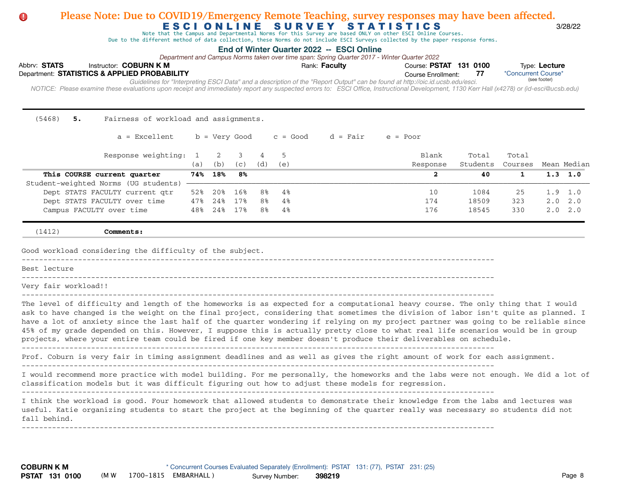### Abbrv: STATS Instructor: COBURN K M **COUR EXECUTS** Rank: Faculty **Property Course: PSTAT 131 0100** Type: Lecture Course Enrollment:  *NOTICE: Please examine these evaluations upon receipt and immediately report any suspected errors to: ESCI Office, Instructional Development, 1130 Kerr Hall (x4278) or (id-esci@ucsb.edu)*  Department: **STATISTICS & APPLIED PROBABILITY 77** E S C I O N L I N E S U R V E Y S T A T I S T I C S 3/28/22 **End of Winter Quarter 2022 -- ESCI Online** \*Concurrent Course\* *Guidelines for "Interpreting ESCI Data" and a description of the "Report Output" can be found at http://oic.id.ucsb.edu/esci. Department and Campus Norms taken over time span: Spring Quarter 2017 - Winter Quarter 2022* Note that the Campus and Departmental Norms for this Survey are based ONLY on other ESCI Online Courses. Due to the different method of data collection, these Norms do not include ESCI Surveys collected by the paper response forms. (see footer) **Please Note: Due to COVID19/Emergency Remote Teaching, survey responses may have been affected.** (5468) **5.** Fairness of workload and assignments.  $a =$  Excellent b = Very Good c = Good d = Fair e = Poor Response weighting: 1 2 3 4 5 Blank Total Total Total (a) (b) (c) (d) (e) Response Students Courses Mean Median  **This COURSE current quarter 74% 18% 8% 2 40 1 1.3 1.0**  Student-weighted Norms (UG students) Dept STATS FACULTY current qtr 52% 20% 16% 8% 4% 10 10 1084 25 1.9 1.0 Dept STATS FACULTY over time 47% 24% 17% 8% 4% 174 18509 323 2.0 2.0 Campus FACULTY over time  $48\frac{24\frac{1}{8}}{17\frac{1}{8}}$  8% 4% 176 18545 330 2.0 2.0 (1412) **Comments:** Good workload considering the difficulty of the subject. ------------------------------------------------------------------------------------------------------------- Best lecture ------------------------------------------------------------------------------------------------------------- Very fair workload!! ------------------------------------------------------------------------------------------------------------- The level of difficulty and length of the homeworks is as expected for a computational heavy course. The only thing that I would ask to have changed is the weight on the final project, considering that sometimes the division of labor isn't quite as planned. I have a lot of anxiety since the last half of the quarter wondering if relying on my project partner was going to be reliable since 45% of my grade depended on this. However, I suppose this is actually pretty close to what real life scenarios would be in group projects, where your entire team could be fired if one key member doesn't produce their deliverables on schedule. ------------------------------------------------------------------------------------------------------------- Prof. Coburn is very fair in timing assignment deadlines and as well as gives the right amount of work for each assignment. ------------------------------------------------------------------------------------------------------------- I would recommend more practice with model building. For me personally, the homeworks and the labs were not enough. We did a lot of classification models but it was difficult figuring out how to adjust these models for regression. ------------------------------------------------------------------------------------------------------------- I think the workload is good. Four homework that allowed students to demonstrate their knowledge from the labs and lectures was useful. Katie organizing students to start the project at the beginning of the quarter really was necessary so students did not fall behind. -------------------------------------------------------------------------------------------------------------